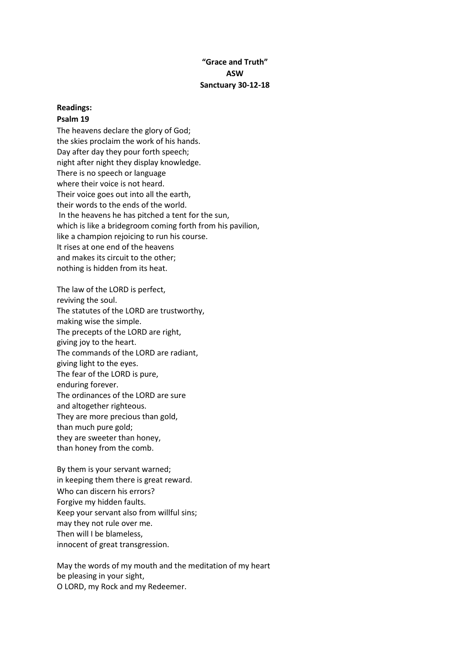### **"Grace and Truth" ASW Sanctuary 30-12-18**

# **Readings:**

## **Psalm 19**

The heavens declare the glory of God; the skies proclaim the work of his hands. Day after day they pour forth speech; night after night they display knowledge. There is no speech or language where their voice is not heard. Their voice goes out into all the earth, their words to the ends of the world. In the heavens he has pitched a tent for the sun, which is like a bridegroom coming forth from his pavilion, like a champion rejoicing to run his course. It rises at one end of the heavens and makes its circuit to the other; nothing is hidden from its heat.

The law of the LORD is perfect, reviving the soul. The statutes of the LORD are trustworthy, making wise the simple. The precepts of the LORD are right, giving joy to the heart. The commands of the LORD are radiant, giving light to the eyes. The fear of the LORD is pure, enduring forever. The ordinances of the LORD are sure and altogether righteous. They are more precious than gold, than much pure gold; they are sweeter than honey, than honey from the comb.

By them is your servant warned; in keeping them there is great reward. Who can discern his errors? Forgive my hidden faults. Keep your servant also from willful sins; may they not rule over me. Then will I be blameless, innocent of great transgression.

May the words of my mouth and the meditation of my heart be pleasing in your sight, O LORD, my Rock and my Redeemer.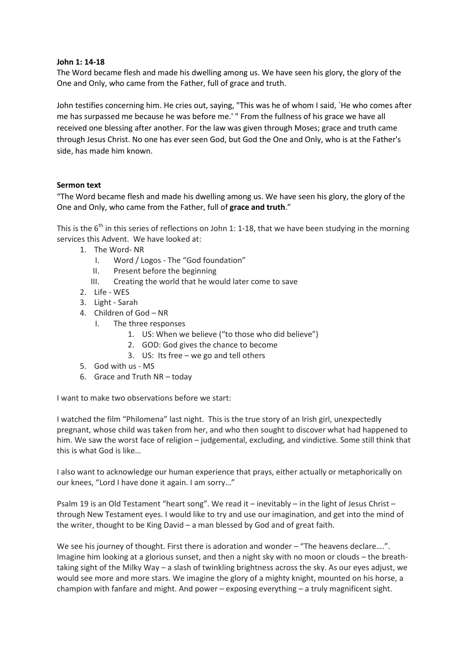### **John 1: 14-18**

The Word became flesh and made his dwelling among us. We have seen his glory, the glory of the One and Only, who came from the Father, full of grace and truth.

John testifies concerning him. He cries out, saying, "This was he of whom I said, `He who comes after me has surpassed me because he was before me.' " From the fullness of his grace we have all received one blessing after another. For the law was given through Moses; grace and truth came through Jesus Christ. No one has ever seen God, but God the One and Only, who is at the Father's side, has made him known.

### **Sermon text**

"The Word became flesh and made his dwelling among us. We have seen his glory, the glory of the One and Only, who came from the Father, full of **grace and truth**."

This is the  $6<sup>th</sup>$  in this series of reflections on John 1: 1-18, that we have been studying in the morning services this Advent. We have looked at:

- 1. The Word- NR
	- I. Word / Logos The "God foundation"
	- II. Present before the beginning
	- III. Creating the world that he would later come to save
- 2. Life WES
- 3. Light Sarah
- 4. Children of God NR
	- I. The three responses
		- 1. US: When we believe ("to those who did believe")
		- 2. GOD: God gives the chance to become
		- 3. US: Its free we go and tell others
- 5. God with us MS
- 6. Grace and Truth NR today

I want to make two observations before we start:

I watched the film "Philomena" last night. This is the true story of an Irish girl, unexpectedly pregnant, whose child was taken from her, and who then sought to discover what had happened to him. We saw the worst face of religion – judgemental, excluding, and vindictive. Some still think that this is what God is like…

I also want to acknowledge our human experience that prays, either actually or metaphorically on our knees, "Lord I have done it again. I am sorry…"

Psalm 19 is an Old Testament "heart song". We read it – inevitably – in the light of Jesus Christ – through New Testament eyes. I would like to try and use our imagination, and get into the mind of the writer, thought to be King David – a man blessed by God and of great faith.

We see his journey of thought. First there is adoration and wonder – "The heavens declare....". Imagine him looking at a glorious sunset, and then a night sky with no moon or clouds – the breathtaking sight of the Milky Way – a slash of twinkling brightness across the sky. As our eyes adjust, we would see more and more stars. We imagine the glory of a mighty knight, mounted on his horse, a champion with fanfare and might. And power – exposing everything – a truly magnificent sight.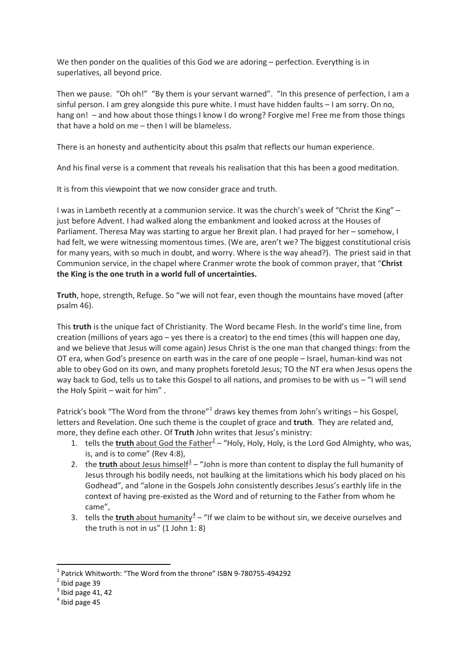We then ponder on the qualities of this God we are adoring – perfection. Everything is in superlatives, all beyond price.

Then we pause. "Oh oh!" "By them is your servant warned". "In this presence of perfection, I am a sinful person. I am grey alongside this pure white. I must have hidden faults – I am sorry. On no, hang on! – and how about those things I know I do wrong? Forgive me! Free me from those things that have a hold on me – then I will be blameless.

There is an honesty and authenticity about this psalm that reflects our human experience.

And his final verse is a comment that reveals his realisation that this has been a good meditation.

It is from this viewpoint that we now consider grace and truth.

I was in Lambeth recently at a communion service. It was the church's week of "Christ the King" – just before Advent. I had walked along the embankment and looked across at the Houses of Parliament. Theresa May was starting to argue her Brexit plan. I had prayed for her – somehow, I had felt, we were witnessing momentous times. (We are, aren't we? The biggest constitutional crisis for many years, with so much in doubt, and worry. Where is the way ahead?). The priest said in that Communion service, in the chapel where Cranmer wrote the book of common prayer, that "**Christ the King is the one truth in a world full of uncertainties.**

**Truth**, hope, strength, Refuge. So "we will not fear, even though the mountains have moved (after psalm 46).

This **truth** is the unique fact of Christianity. The Word became Flesh. In the world's time line, from creation (millions of years ago – yes there is a creator) to the end times (this will happen one day, and we believe that Jesus will come again) Jesus Christ is the one man that changed things: from the OT era, when God's presence on earth was in the care of one people – Israel, human-kind was not able to obey God on its own, and many prophets foretold Jesus; TO the NT era when Jesus opens the way back to God, tells us to take this Gospel to all nations, and promises to be with us – "I will send the Holy Spirit – wait for him" .

Patrick's book "The Word from the throne"<sup>[1](#page-2-0)</sup> draws key themes from John's writings – his Gospel, letters and Revelation. One such theme is the couplet of grace and **truth**. They are related and, more, they define each other. Of **Truth** John writes that Jesus's ministry:

- 1. tells the **truth** about God the Father<sup>[2](#page-2-1)</sup> "Holy, Holy, Holy, is the Lord God Almighty, who was, is, and is to come" (Rev 4:8),
- 2. the **truth** about Jesus himself $\frac{3}{2}$  $\frac{3}{2}$  $\frac{3}{2}$  "John is more than content to display the full humanity of Jesus through his bodily needs, not baulking at the limitations which his body placed on his Godhead", and "alone in the Gospels John consistently describes Jesus's earthly life in the context of having pre-existed as the Word and of returning to the Father from whom he came",
- 3. tells the **truth** about humanity<sup>[4](#page-2-3)</sup> "If we claim to be without sin, we deceive ourselves and the truth is not in us" (1 John 1: 8)

<span id="page-2-0"></span><sup>&</sup>lt;sup>1</sup> Patrick Whitworth: "The Word from the throne" ISBN 9-780755-494292<br><sup>2</sup> Ibid page 39

<span id="page-2-1"></span>

<span id="page-2-2"></span> $3$  Ibid page 41, 42

<span id="page-2-3"></span> $<sup>4</sup>$  Ibid page 45</sup>